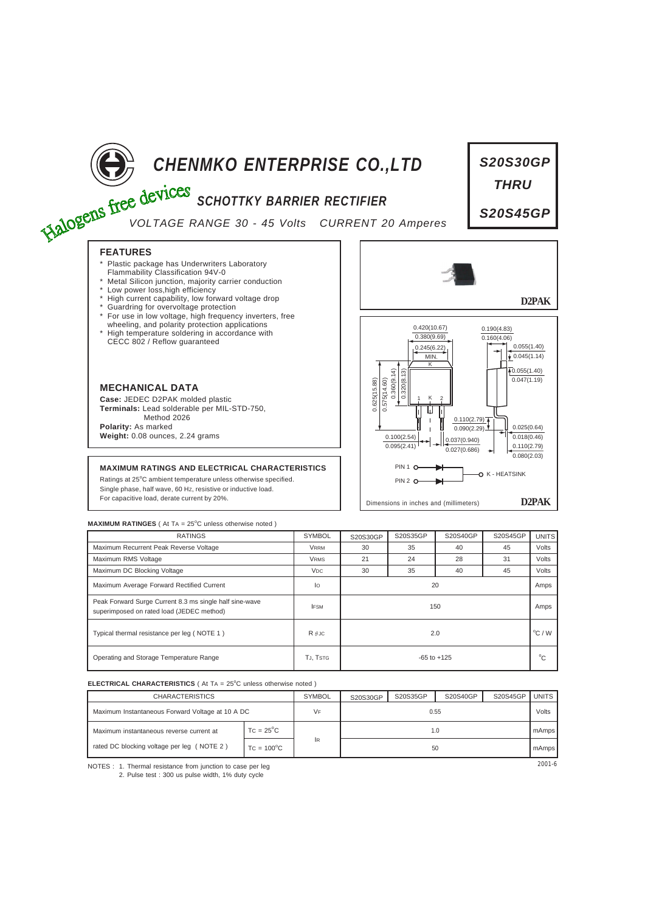

# **CHENMKO ENTERPRISE CO.,LTD**<br>
Free devices SCHOTTKY BARRIER RECTIFIER

# *SCHOTTKY BARRIER RECTIFIER*

*VOLTAGE RANGE 30 - 45 Volts CURRENT 20 Amperes*

# **FEATURES**

- Plastic package has Underwriters Laboratory
- Flammability Classification 94V-0 \* Metal Silicon junction, majority carrier conduction
- \* Low power loss,high efficiency
- High current capability, low forward voltage drop
- Guardring for overvoltage protection
- For use in low voltage, high frequency inverters, free
- wheeling, and polarity protection applications \* High temperature soldering in accordance with CECC 802 / Reflow guaranteed



**Case:** JEDEC D2PAK molded plastic **Terminals:** Lead solderable per MIL-STD-750, Method 2026 **Polarity:** As marked **Weight:** 0.08 ounces, 2.24 grams

## **MAXIMUM RATINGS AND ELECTRICAL CHARACTERISTICS**

Ratings at 25°C ambient temperature unless otherwise specified. Single phase, half wave, 60 HZ, resistive or inductive load. For capacitive load, derate current by 20%.



*S20S30GP*

*THRU*

*S20S45GP*

### **MAXIMUM RATINGES** ( At TA = 25°C unless otherwise noted )

| <b>RATINGS</b>                                                                                       | <b>SYMBOL</b>         | S20S30GP        | S20S35GP | S20S40GP | S20S45GP | <b>UNITS</b> |
|------------------------------------------------------------------------------------------------------|-----------------------|-----------------|----------|----------|----------|--------------|
| Maximum Recurrent Peak Reverse Voltage                                                               | <b>VRRM</b>           | 30              | 35       | 40       | 45       | Volts        |
| Maximum RMS Voltage                                                                                  | <b>VRMS</b>           | 21              | 24       | 28       | 31       | Volts        |
| Maximum DC Blocking Voltage                                                                          | <b>V<sub>DC</sub></b> | 30              | 35       | 40       | 45       | Volts        |
| Maximum Average Forward Rectified Current                                                            | lo                    | 20              |          |          |          |              |
| Peak Forward Surge Current 8.3 ms single half sine-wave<br>superimposed on rated load (JEDEC method) | <b>IFSM</b>           | 150             |          |          |          |              |
| Typical thermal resistance per leg (NOTE 1)                                                          | $R$ $\theta$ JC       | 2.0             |          |          |          |              |
| Operating and Storage Temperature Range                                                              | TJ, TSTG              | $-65$ to $+125$ |          |          |          |              |

### **ELECTRICAL CHARACTERISTICS** ( At TA = 25°C unless otherwise noted )

| <b>CHARACTERISTICS</b>                           |                     | <b>SYMBOL</b> | S20S30GP | S20S35GP | S20S40GP | S20S45GP | <b>UNITS</b> |
|--------------------------------------------------|---------------------|---------------|----------|----------|----------|----------|--------------|
| Maximum Instantaneous Forward Voltage at 10 A DC |                     | VF            | 0.55     |          |          |          |              |
| Maximum instantaneous reverse current at         | $TC = 25^{\circ}C$  |               | 1.0      |          |          |          | mAmps        |
| rated DC blocking voltage per leg (NOTE 2)       | $TC = 100^{\circ}C$ | lR.           | 50       |          |          |          |              |

NOTES : 2001-6 1. Thermal resistance from junction to case per leg 2. Pulse test : 300 us pulse width, 1% duty cycle